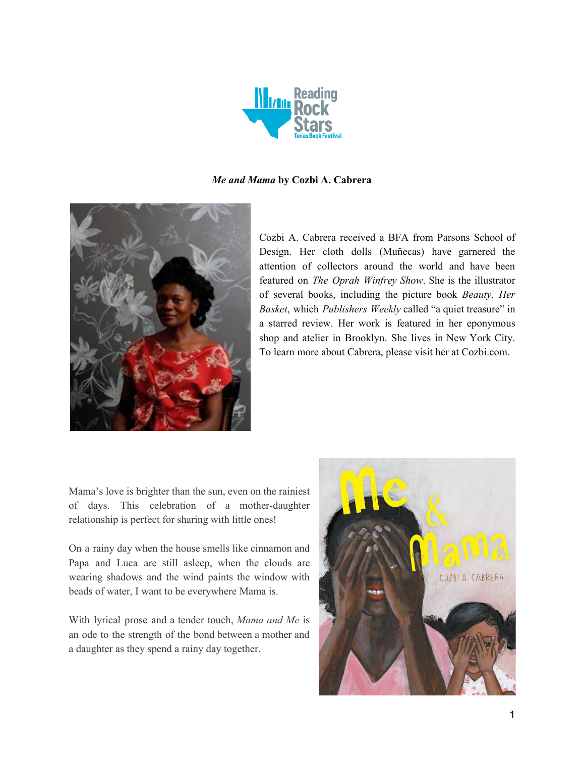

#### *Me and Mama* **by Cozbi A. Cabrera**



Cozbi A. Cabrera received a BFA from Parsons School of Design. Her cloth dolls (Muñecas) have garnered the attention of collectors around the world and have been featured on *The Oprah Winfrey Show*. She is the illustrator of several books, including the picture book *Beauty, Her Basket*, which *Publishers Weekly* called "a quiet treasure" in a starred review. Her work is featured in her eponymous shop and atelier in Brooklyn. She lives in New York City. To learn more about Cabrera, please visit her at Cozbi.com.

Mama's love is brighter than the sun, even on the rainiest of days. This celebration of a mother-daughter relationship is perfect for sharing with little ones!

On a rainy day when the house smells like cinnamon and Papa and Luca are still asleep, when the clouds are wearing shadows and the wind paints the window with beads of water, I want to be everywhere Mama is.

With lyrical prose and a tender touch, *Mama and Me* is an ode to the strength of the bond between a mother and a daughter as they spend a rainy day together.

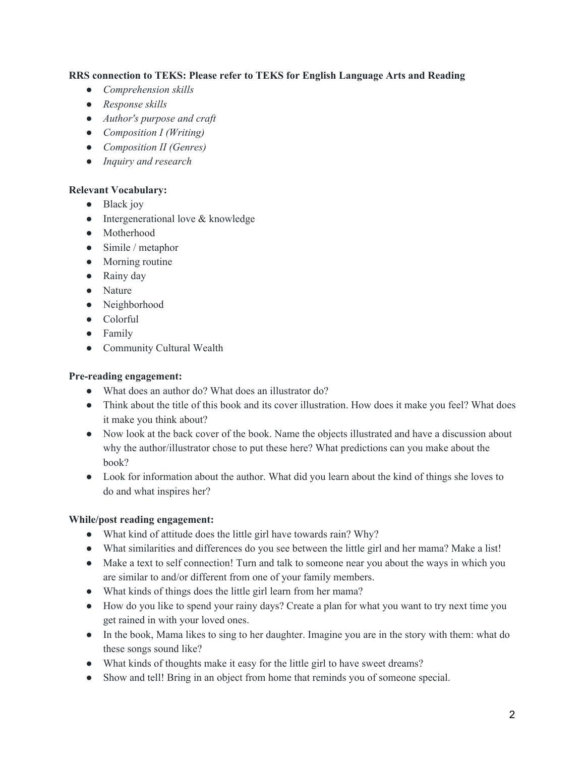## **RRS connection to TEKS: Please refer to TEKS for English Language Arts and Reading**

- *● Comprehension skills*
- *● Response skills*
- *● Author's purpose and craft*
- *● Composition I (Writing)*
- *● Composition II (Genres)*
- *● Inquiry and research*

## **Relevant Vocabulary:**

- Black joy
- Intergenerational love & knowledge
- Motherhood
- Simile / metaphor
- Morning routine
- Rainy day
- Nature
- Neighborhood
- Colorful
- Family
- Community Cultural Wealth

## **Pre-reading engagement:**

- What does an author do? What does an illustrator do?
- Think about the title of this book and its cover illustration. How does it make you feel? What does it make you think about?
- Now look at the back cover of the book. Name the objects illustrated and have a discussion about why the author/illustrator chose to put these here? What predictions can you make about the book?
- Look for information about the author. What did you learn about the kind of things she loves to do and what inspires her?

## **While/post reading engagement:**

- What kind of attitude does the little girl have towards rain? Why?
- What similarities and differences do you see between the little girl and her mama? Make a list!
- Make a text to self connection! Turn and talk to someone near you about the ways in which you are similar to and/or different from one of your family members.
- What kinds of things does the little girl learn from her mama?
- How do you like to spend your rainy days? Create a plan for what you want to try next time you get rained in with your loved ones.
- In the book, Mama likes to sing to her daughter. Imagine you are in the story with them: what do these songs sound like?
- What kinds of thoughts make it easy for the little girl to have sweet dreams?
- Show and tell! Bring in an object from home that reminds you of someone special.